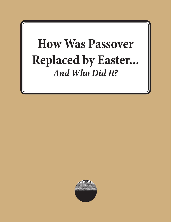# **How Was Passover Replaced by Easter...** *And Who Did It?*

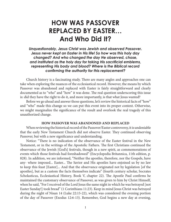# **HOW WAS PASSOVER REPLACED BY EASTER… And Who Did It?**

*Unquestionably, Jesus Christ was Jewish and observed Passover. Jesus never kept an Easter in His life! So how was this holy day changed? And who changed the day He observed, chose, and instituted as the holy day for taking His sacrificial emblems, representing His body and blood? Where is the Biblical record confirming the authority for this replacement?*

Church history is a fascinating study. There are many angles and approaches one can take when exploring the nuances of the ecclesiastical record. However, the means by which Passover was abandoned and replaced with Easter is fairly straightforward and clearly documented as to "who" and "how" it was done. The real question underscoring this issue is: did they have the right to do it, and more importantly, is that what Jesus wanted?

Before we go ahead and answer those questions, let's review the historical facts of "how" and "who" made this change so we can put this event into its proper context. Otherwise, we might marginalize the significance of the result and overlook the real tragedy of this unauthorized change.

#### **HOW PASSOVER WAS ABANDONED AND REPLACED**

When reviewing the historical record of the Passover/Easter controversy, it is undeniable that the early New Testament Church did not observe Easter. They continued observing Passover, but with a new significance and understanding.

Notice: "There is no indication of the observance of the Easter festival in the New Testament, or in the writings of the Apostolic Fathers. The first Christians continued the observance of the Jewish [God's] festivals, though in a new spirit, as commemorations of events which those festivals had foreshadowed" (Encyclopedia Britannica, 11th edition, p. 828). In addition, we are informed, "Neither the apostles, therefore, nor the Gospels, have any- where imposed... Easter... The Savior and His apostles have enjoined us by no law to keep this feast [Easter]... And that the observance originated not by legislation [of the apostles], but as a custom the facts themselves indicate" (fourth century scholar, Socrates Scholasticus, Ecclesiastical History, Book V, chapter 22). The Apostle Paul confirms he maintained the customary observance of Passover, as was given to him by Christ Himself, when he said, "For I received of the Lord Jesus the same night in which he was betrayed [not Easter Sunday!] took bread" (1 Corinthians 11:23). Keep in mind Jesus Christ was betrayed during the night of Nisan 14 (Luke 22:15-22), which was considered the evening portion of the day of Passover (Exodus 12:6-13). Remember, God begins a new day at evening,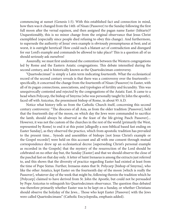commencing at sunset (Genesis 1:5). With this established fact and connection in mind, how then was it changed from the 14th of Nisan (Passover) to the Sunday following the first full moon after the vernal equinox, and then assigned the pagan name Easter (Ishtarte)? Unquestionably, this is no minor change from the original observance that Jesus Christ exemplified (especially since people died refusing to obey this change). And furthermore, to supersede the authority of Jesus' own example is obviously presumptuous at best; and at worst, it is outright heretical! How could such a blatant act of contradiction and disregard for our Lord's example and commands be allowed to take place? This is a question all of us should seriously ask ourselves!

Assuredly, we must first understand the contention between the Western congregations led by Rome and the Eastern Asiatic congregations. This debate intensified during the second century, and is historically known as the Quartodeciman controversy.

"Quartodeciman" is simply a Latin term indicating fourteenth. What the ecclesiastical record of the second century reveals is that there was a controversy over the fourteenth specifically, it concerned the change from the fourteenth of Nisan (Passover) to Easter, with all of its pagan connections, associations, and typologies of fertility and fecundity. This was unequivocally contested and rejected by the congregations of the Asiatic East. It came to a head when Polycarp, the bishop of Smyrna (who was personally taught by John the apostle), faced off with Anicetus, the preeminent bishop of Rome, in about 95 A.D.

Notice what history tells us from the Catholic Church itself, concerning this second century controversy: "The dioceses of all Asia, as from the older tradition [Passover], held that the fourteenth day of the moon, on which day the Jews were commanded to sacrifice the lamb, should always be observed as the feast of the life-giving Pasch Passover]... However, it was not the custom of the churches in the rest of the world [primarily the West, represented by Rome] to end it at this point [allegedly a non-biblical based fast ending on Easter Sunday], as they observed the practice, which from apostolic tradition has prevailed to the present time... Synods and assemblies of bishops [not Jesus Christ's example or the Gospel records!] were held on this account and all with one consent through mutual correspondence drew up an ecclesiastical decree [superseding Christ's personal example as recorded in the Gospels] that the mystery of the resurrection of the Lord should be celebrated on no other day but, the Sunday [Easter] and that we should observe the close of the paschal fast on that day only. A letter of Saint Irenaeus is among the extracts just referred to, and this shows that the diversity of practice regarding Easter had existed at least from the time of Pope Sixtus. Further, Irenaeus states that St. Polycarp [bishop of Smyrna], who like the other Asiatics, kept Easter on the fourteenth day of the moon [which is really the Passover], whatever day of the week that might be, following therein the tradition which he [Polycarp] claimed to have derived from St. John the Apostle, but could not be persuaded by Pope Anicetus to relinquish his Quartodecimen observance. The question thus debated was therefore primarily whether Easter was to be kept on a Sunday, or whether Christians should observe the holyday of the Jews... Those who kept Easter [Passover] with the Jews were called Quartodecimans" (Catholic Encyclopedia, emphasis added).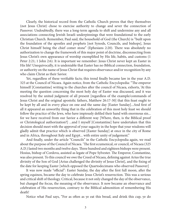Clearly, the historical record from the Catholic Church proves that they themselves (not Jesus Christ) chose to exercise authority to change and sever the connection of Passover. Undoubtedly, there was a long-term agenda to shift and undermine any and all associations connecting Jewish Israeli underpinnings that were foundational to the early Christian Church. Remember, Paul said, the household of God (the Church) is "built upon the foundation of the apostles and prophets [not Synods, Councils, and bishops], Jesus Christ himself being the chief comer stone" (Ephesians 2:20). There was absolutely no authorization to change the framework of this major point of doctrine, disconnecting from Jesus Christ's own appearance of worship exemplified by His life, habits, and customs (1 Peter 2:21; 1 John 2:6). It is important we remember: Jesus Christ never kept an Easter in His life! Unequivocally, it is undeniable that Easter has no Biblical connection, foundation, or authority on the name of Jesus Christ that requires observance and/or recognition by any who claim Christ as their Savior.

Yet, regardless of these verifiable facts; this trend finally became law in the year A.D. 325 at the Council of Nicaea. Again notice, from the Catholic Encyclopedia: "The emperor himself [Constantine] writing to the churches after the council of Nicaea, exhorts, 'At this meeting the question concerning the most holy day of Easter was discussed, and it was resolved by the united judgment of all present [regardless of the example/commands of Jesus Christ and the original apostolic fathers, Matthew 26:17-30] that this feast ought to be kept by all and in every place on one and the same day [Easter Sunday]...And first of all it appeared an unworthy thing that in the celebration of this most holy feast we should follow the practice of the Jews, who have impiously defiled their hand with enormous sin... for we have received from our Savior a different way [Where, then, is the Biblical proof or Christological authorization?] ...and I myself [Constantine] have undertaken that this decision should meet with the approval of your sagacity in the hope that your wisdoms will gladly admit that practice which is observed [Easter Sunday] at once in the city of Rome and in Africa, throughout Italy and Egypt... with entire unity of judgement."

And finally, under the article "Councils" in the Catholic Encyclopedia again, we read about the purpose of the Council of Nicaea. 'The first ecumenical, or council, of Nicaea (325 A.D.) lasted two months and twelve days. Three hundred and eighteen bishops were present. Hosius, bishop of Cordova, assisted as legate of Pope Sylvester. The Emperor, Constantine, was also present. To this council we owe the Creed of Nicaea, defining against Arius the true divinity of the Son of God [Arius challenged the divinity of Jesus Christ], and the fixing of the date for keeping Easter [which opposed the Quartodecimans who observed Passover]

It was now made "official": Easter Sunday, the day after the first full moon, after the spring equinox, became the day to celebrate Jesus Christ's resurrection. This was a serious and critical shift of theology. Critical, because it not only changed the day of the observance, but changed the focus, the meaning of the observance. It now became an observance and celebration of His resurrection, contrary to the Biblical admonition of remembering His death!

Notice what Paul says, "For as often as ye eat this bread, and drink this cup, ye do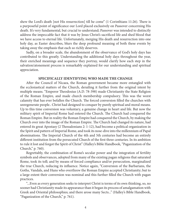shew the Lord's death [not His resurrection] till he come" (1 Corinthians 11:26). There is a purposeful point of significance our Lord placed exclusively on Passover concerning His death. It's very fundamental, but crucial to understand; Passover was intended to distinctly address the impeccable fact that it was by Jesus Christ's sacrificed life and shed blood that we have access to eternal life. Unfortunately, merging His death and resurrection into one holy day, as Easter describes, blurs the deep profound meaning of both these events by taking away the emphasis that each so richly deserves.

Sadly, on a broader scale, the abandonment of the observance of God's holy days has contributed to this greatly. Understanding the additional holy days throughout the year, their enriched meanings and sequence they portray, would clarify how each step in the salvation/atonement process is remarkably explained for our understanding and spiritual appreciation.

#### **SPECIFICALLY IDENTIFYING WHO MADE THE CHANGE**

After the Council of Nicaea, the Roman government became more entangled with the ecclesiastical matters of the Church, derailing it further from the original intent by multiple means. "Emperor Theodosius (A.D. 78-398) made Christianity the State Religion of the Roman Empire, and made church membership compulsory. This was the worst calamity that has ever befallen the Church. The forced conversion filled the churches with unregenerate people.. Christ had designed to conquer by purely spiritual and moral means. Up to this time conversion was voluntary, a genuine change in heart and life. But now the military spirit of Imperial Rome had entered the Church. The Church had conquered the Roman Empire. But in reality the Roman Empire had conquered the Church, by making the Church over into the image of the Roman Empire. The Church had changed its nature, had entered its great Apostasy (2 Thessalonians 2: 1-12), had become a political organization in the Spirit and pattern of Imperial Rome, and took its nose-dive into the millennium of Papal abominations. The Imperial Church of the 4th and 5th centuries had become an entirely different institution from the persecuted Church of the first three centuries. In its ambition to rule it lost and forgot the Spirit of Christ" (Halley's Bible Handbook, "Paganization of the Church," p. 760).

Regrettably, the combination of Rome's secular power and the integration of fertility symbols and observances, adopted from many of the existing pagan religions that saturated Rome, took its toll; and by means of forced compliance and/or persecution, marginalized the true Church, reducing its influence. Notice again, "Conversion of the Barbarians, the Goths, Vandals, and Huns who overthrew the Roman Empire accepted Christianity; but to a large extent their conversion was nominal and this further filled the Church with pagan practices.

"...Even as every generation seeks to interpret Christ is terms of its own thinking, so, no sooner had Christianity made its appearance than it began its process of amalgamation with Greek and Oriental philosophies; and there arose many Sects..." (Halley's Bible Handbook, "Paganization of the Church," p. 761).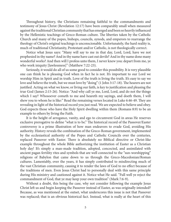Throughout history, the Christians remaining faithful to the commandments and testimony of Jesus Christ (Revelation 12:17) have been comparably small when measured against the traditional Christian community that has emerged and been so heavily influenced by the Hellenistic teachings of Greco-Roman culture. The liberties taken by the Catholic Church and many of the popes, bishops, councils, synods, and emperors to rearrange the theology of Christ's original teachings is unconscionable. Unfortunately, the hard reality is, much of traditional Christianity, Protestant and/or Catholic, is not theologically correct.

Notice what Jesus says: "Many will say to me in that day, Lord, Lord, have we not prophesied in thy name? And in thy name have cast out devils? And in thy name done many wonderful works? And then will I profess unto them, I never knew you: depart from me, ye who work iniquity [lawlessness]" (Matthew 7:22-23).

Seriously, it would do all of us some good to consider this possibility. It is very plausible one can think he is pleasing God when in fact he is not. It's important to our Lord we worship Him in Spirit and in truth. Love of the truth is living the truth. It's easy to say we love and believe the truth, but we must love by "doing" (1 John 3:17-18). The hearers are not justified. Acting on what we know, or living our faith, is key to justification and pleasing the true God (James 2:15-26). Notice: "And why call ye me, Lord, Lord, and do not the things which I say? Whosoever cometh to me and heareth my sayings, and doeth them, I will shew you to whom he is like:" Read the remaining verses located in Luke 6:46-49. They are revealing in light of the historical record you just read. We are expected to believe and obey. God expects those who have the Holy Spirit dwelling within them (Romans 8:9) to be an example to others by living the Faith.

It is the height of arrogance, vanity, and ego to circumvent God in areas He reserves exclusive prerogative to define "what is to be." The historical record of the Passover/Easter controversy is a prime illustration of how man endeavors to evade God, avoiding His authority. History reveals the combination of the Greco-Roman government, implemented by the ecclesiastical authority of the Popes and Catholic Councils over the centuries, replaced Passover with Easter. There is absolutely no Biblical directive or Christ-like example throughout the whole Bible authorizing the institution of Easter as a Christian holy day! It's simply a man-made tradition, adopted, concocted, and assimilated with ancient pagan fertility rites and symbols that are well connected to the "sun-worshipping" religions of Babylon that came down to us through the Greco-Macedonian/Roman cultures. Lamentably, over the years, it has simply contributed to misdirecting much of the vast Christian community, causing it to render the laws of God to no effect because of the traditions of men. Even Jesus Christ had to personally deal with this same principle during His ministry and cautioned against it. Notice what He said. "Full well ye reject the commandment of God, that ye may keep your own tradition" (Mark 7:6-9).

Without a doubt, this being the case, why not consider following the example Jesus Christ left us and begin keeping the Passover instead of Easter, as was originally intended? Because, as was mentioned at the outset, what underscores this issue is not that Passover was replaced; that is an obvious historical fact. Instead, what is really at the heart of this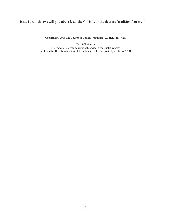## issue is, which laws will you obey: Jesus the Christ's, or the decrees (traditions) of men?

Copyright © 2008 The Church of God International - All rights reserved

Text: Bill Watson This material is a free educational service in the public interest. Published by The Church of God International. 3900 Timms St.,Tyler, Texas 75701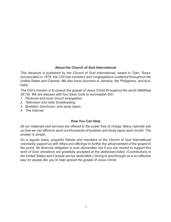### **About the Church of God International**

*This literature is published by the Church of God International, based in Tyler, Texas. Incorporated in 1978, the CGI has ministers and congregations scattered throughout the United States and Canada. We also have churches in Jamaica, the Philippines, and Australia.* 

*The CGI's mission is to preach the gospel of Jesus Christ throughout the world (Matthew 28:19). We are blessed with four basic tools to accomplish this:* 

- *1. Personal and local church evangelism.*
- *2. Television and radio broadcasting.*
- *3. Booklets, brochures, and study tapes.*
- *4. The Internet.*

### **How You Can Help**

*All our materials and services are offered to the public free of charge. Many naturally ask us how we can afford to send out thousands of booklets and study tapes each month. The answer is simple.* 

*On a regular basis, prayerful friends and members of the Church of God International voluntarily support us with tithes and offerings to further the advancement of the gospel to the world. No financial obligation is ever demanded, but if you are moved to support this work of God, donations are gratefully accepted at the addresses listed. (Contributions in the United States and Canada are tax deductible.) Giving to and through us is an effective way for people like you to help spread the gospel of Jesus Christ.*